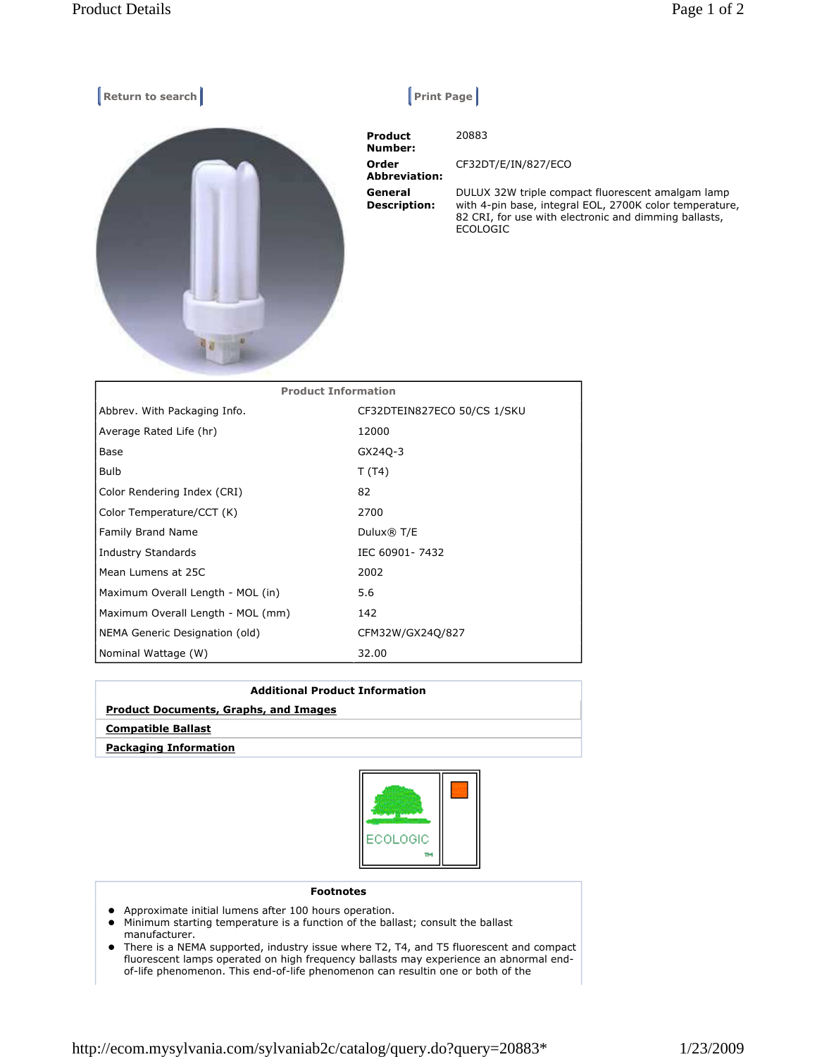| Return to search           | <b>Print Page</b>              |                                                                                                                                                                                          |
|----------------------------|--------------------------------|------------------------------------------------------------------------------------------------------------------------------------------------------------------------------------------|
|                            | <b>Product</b><br>Number:      | 20883                                                                                                                                                                                    |
|                            | Order<br><b>Abbreviation:</b>  | CF32DT/E/IN/827/ECO                                                                                                                                                                      |
|                            | General<br><b>Description:</b> | DULUX 32W triple compact fluorescent amalgam lamp<br>with 4-pin base, integral EOL, 2700K color temperature,<br>82 CRI, for use with electronic and dimming ballasts,<br><b>ECOLOGIC</b> |
| <b>Product Information</b> |                                |                                                                                                                                                                                          |
|                            |                                |                                                                                                                                                                                          |

| Abbrev. With Packaging Info.      | CF32DTEIN827ECO 50/CS 1/SKU |
|-----------------------------------|-----------------------------|
| Average Rated Life (hr)           | 12000                       |
| Base                              | GX240-3                     |
| <b>Bulb</b>                       | T (T4)                      |
| Color Rendering Index (CRI)       | 82                          |
| Color Temperature/CCT (K)         | 2700                        |
| <b>Family Brand Name</b>          | Dulux® T/E                  |
| Industry Standards                | IEC 60901-7432              |
| Mean Lumens at 25C                | 2002                        |
| Maximum Overall Length - MOL (in) | 5.6                         |
| Maximum Overall Length - MOL (mm) | 142                         |
| NEMA Generic Designation (old)    | CFM32W/GX24Q/827            |
| Nominal Wattage (W)               | 32.00                       |

| <b>Additional Product Information</b>        |  |  |
|----------------------------------------------|--|--|
| <b>Product Documents, Graphs, and Images</b> |  |  |
| <b>Compatible Ballast</b>                    |  |  |
| <b>Packaging Information</b>                 |  |  |



## Footnotes

- Approximate initial lumens after 100 hours operation.
- Minimum starting temperature is a function of the ballast; consult the ballast manufacturer.
- There is a NEMA supported, industry issue where T2, T4, and T5 fluorescent and compact fluorescent lamps operated on high frequency ballasts may experience an abnormal endof-life phenomenon. This end-of-life phenomenon can resultin one or both of the